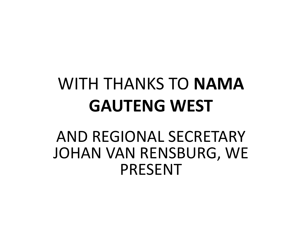## WITH THANKS TO **NAMA GAUTENG WEST**

#### AND REGIONAL SECRETARY JOHAN VAN RENSBURG, WE PRESENT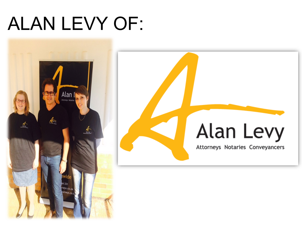# ALAN LEVY OF:

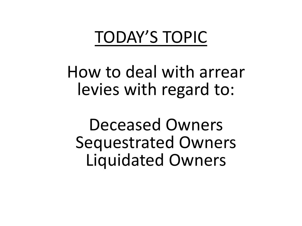#### TODAY'S TOPIC

How to deal with arrear levies with regard to:

Deceased Owners Sequestrated Owners Liquidated Owners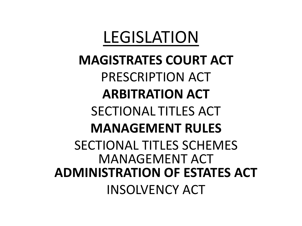### LEGISLATION

**MAGISTRATES COURT ACT** PRESCRIPTION ACT **ARBITRATION ACT** SECTIONAL TITLES ACT **MANAGEMENT RULES** SECTIONAL TITLES SCHEMES MANAGEMENT ACT **ADMINISTRATION OF ESTATES ACT** INSOLVENCY ACT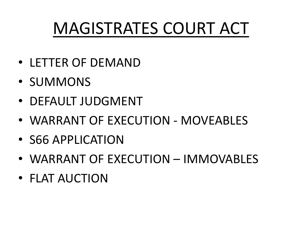## MAGISTRATES COURT ACT

- LETTER OF DEMAND
- SUMMONS
- DEFAULT JUDGMENT
- WARRANT OF EXECUTION MOVEABLES
- S66 APPLICATION
- WARRANT OF EXECUTION IMMOVABLES
- FLAT AUCTION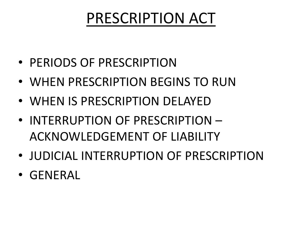#### PRESCRIPTION ACT

- PERIODS OF PRESCRIPTION
- WHEN PRESCRIPTION BEGINS TO RUN
- WHEN IS PRESCRIPTION DELAYED
- INTERRUPTION OF PRESCRIPTION ACKNOWLEDGEMENT OF LIABILITY
- JUDICIAL INTERRUPTION OF PRESCRIPTION
- GENERAL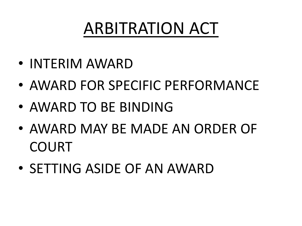## ARBITRATION ACT

- INTERIM AWARD
- AWARD FOR SPECIFIC PERFORMANCE
- AWARD TO BE BINDING
- AWARD MAY BE MADE AN ORDER OF COURT
- SETTING ASIDE OF AN AWARD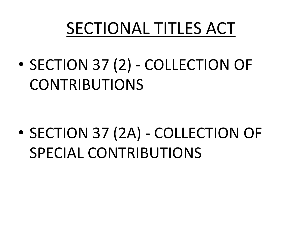## SECTIONAL TITLES ACT

• SECTION 37 (2) - COLLECTION OF CONTRIBUTIONS

• SECTION 37 (2A) - COLLECTION OF SPECIAL CONTRIBUTIONS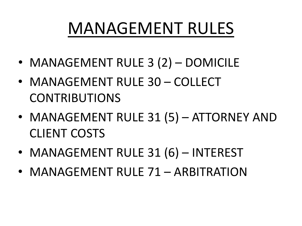## MANAGEMENT RULES

- MANAGEMENT RULE 3 (2) DOMICILE
- MANAGEMENT RULE 30 COLLECT CONTRIBUTIONS
- MANAGEMENT RULE 31 (5) ATTORNEY AND CLIENT COSTS
- MANAGEMENT RULE 31 (6) INTEREST
- MANAGEMENT RULE 71 ARBITRATION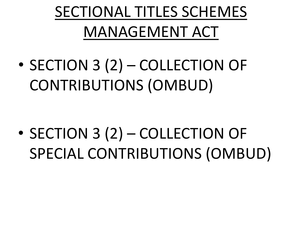## SECTIONAL TITLES SCHEMES MANAGEMENT ACT

• SECTION 3 (2) – COLLECTION OF CONTRIBUTIONS (OMBUD)

• SECTION 3 (2) – COLLECTION OF SPECIAL CONTRIBUTIONS (OMBUD)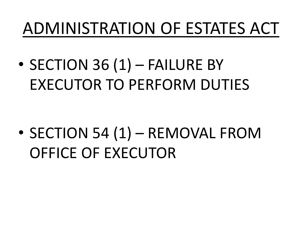## ADMINISTRATION OF ESTATES ACT

• SECTION 36 (1) – FAILURE BY EXECUTOR TO PERFORM DUTIES

• SECTION 54 (1) – REMOVAL FROM OFFICE OF EXECUTOR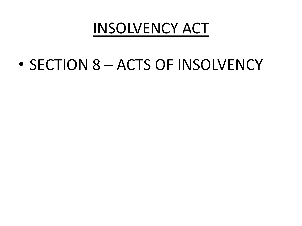#### INSOLVENCY ACT

• SECTION 8 – ACTS OF INSOLVENCY